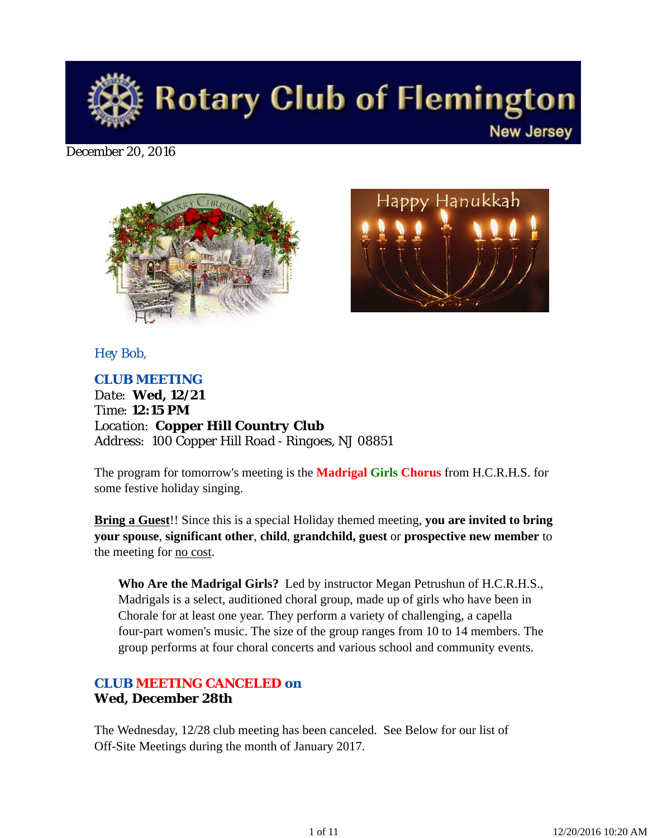

December 20, 2016





*Hey Bob,* 

*CLUB MEETING Date: Wed, 12/21 Time: 12:15 PM Location: Copper Hill Country Club Address: 100 Copper Hill Road - Ringoes, NJ 08851*

The program for tomorrow's meeting is the **Madrigal Girls Chorus** from H.C.R.H.S. for some festive holiday singing.

**Bring a Guest**!! Since this is a special Holiday themed meeting, **you are invited to bring your spouse**, **significant other**, **child**, **grandchild, guest** or **prospective new member** to the meeting for no cost.

**Who Are the Madrigal Girls?** Led by instructor Megan Petrushun of H.C.R.H.S., Madrigals is a select, auditioned choral group, made up of girls who have been in Chorale for at least one year. They perform a variety of challenging, a capella four-part women's music. The size of the group ranges from 10 to 14 members. The group performs at four choral concerts and various school and community events.

## *CLUB MEETING CANCELED on* **Wed, December 28th**

The Wednesday, 12/28 club meeting has been canceled. See Below for our list of Off-Site Meetings during the month of January 2017.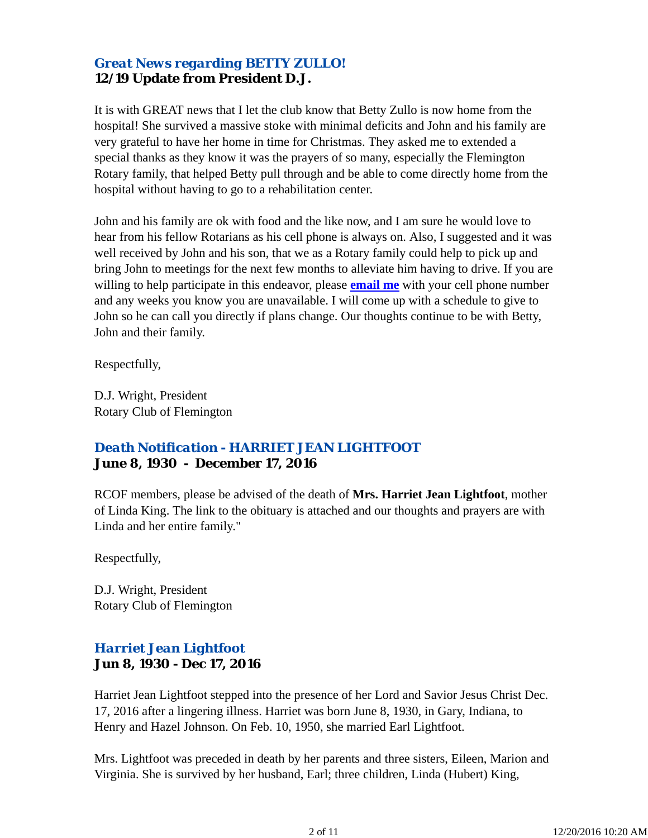### *Great News regarding BETTY ZULLO!* **12/19 Update from President D.J.**

It is with GREAT news that I let the club know that Betty Zullo is now home from the hospital! She survived a massive stoke with minimal deficits and John and his family are very grateful to have her home in time for Christmas. They asked me to extended a special thanks as they know it was the prayers of so many, especially the Flemington Rotary family, that helped Betty pull through and be able to come directly home from the hospital without having to go to a rehabilitation center.

John and his family are ok with food and the like now, and I am sure he would love to hear from his fellow Rotarians as his cell phone is always on. Also, I suggested and it was well received by John and his son, that we as a Rotary family could help to pick up and bring John to meetings for the next few months to alleviate him having to drive. If you are willing to help participate in this endeavor, please **email me** with your cell phone number and any weeks you know you are unavailable. I will come up with a schedule to give to John so he can call you directly if plans change. Our thoughts continue to be with Betty, John and their family.

Respectfully,

D.J. Wright, President Rotary Club of Flemington

#### *Death Notification - HARRIET JEAN LIGHTFOOT* **June 8, 1930 - December 17, 2016**

RCOF members, please be advised of the death of **Mrs. Harriet Jean Lightfoot**, mother of Linda King. The link to the obituary is attached and our thoughts and prayers are with Linda and her entire family."

Respectfully,

D.J. Wright, President Rotary Club of Flemington

## *Harriet Jean Lightfoot* **Jun 8, 1930 - Dec 17, 2016**

Harriet Jean Lightfoot stepped into the presence of her Lord and Savior Jesus Christ Dec. 17, 2016 after a lingering illness. Harriet was born June 8, 1930, in Gary, Indiana, to Henry and Hazel Johnson. On Feb. 10, 1950, she married Earl Lightfoot.

Mrs. Lightfoot was preceded in death by her parents and three sisters, Eileen, Marion and Virginia. She is survived by her husband, Earl; three children, Linda (Hubert) King,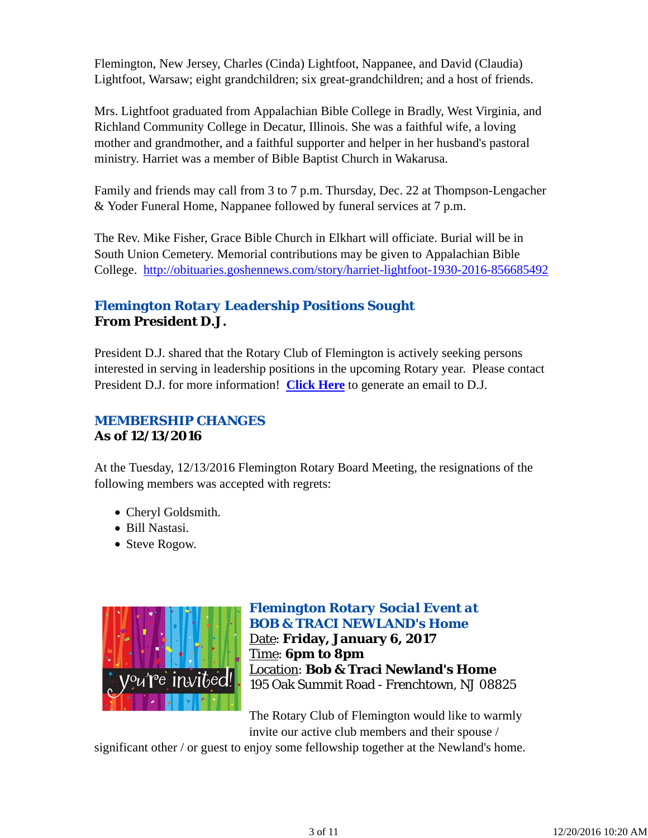Flemington, New Jersey, Charles (Cinda) Lightfoot, Nappanee, and David (Claudia) Lightfoot, Warsaw; eight grandchildren; six great-grandchildren; and a host of friends.

Mrs. Lightfoot graduated from Appalachian Bible College in Bradly, West Virginia, and Richland Community College in Decatur, Illinois. She was a faithful wife, a loving mother and grandmother, and a faithful supporter and helper in her husband's pastoral ministry. Harriet was a member of Bible Baptist Church in Wakarusa.

Family and friends may call from 3 to 7 p.m. Thursday, Dec. 22 at Thompson-Lengacher & Yoder Funeral Home, Nappanee followed by funeral services at 7 p.m.

The Rev. Mike Fisher, Grace Bible Church in Elkhart will officiate. Burial will be in South Union Cemetery. Memorial contributions may be given to Appalachian Bible College. http://obituaries.goshennews.com/story/harriet-lightfoot-1930-2016-856685492

# *Flemington Rotary Leadership Positions Sought* **From President D.J.**

President D.J. shared that the Rotary Club of Flemington is actively seeking persons interested in serving in leadership positions in the upcoming Rotary year. Please contact President D.J. for more information! **Click Here** to generate an email to D.J.

## *MEMBERSHIP CHANGES* **As of 12/13/2016**

At the Tuesday, 12/13/2016 Flemington Rotary Board Meeting, the resignations of the following members was accepted with regrets:

- Cheryl Goldsmith.
- Bill Nastasi.
- Steve Rogow.



*Flemington Rotary Social Event at BOB & TRACI NEWLAND's Home* Date: **Friday, January 6, 2017** Time: **6pm to 8pm** Location: **Bob & Traci Newland's Home** 195 Oak Summit Road - Frenchtown, NJ 08825

The Rotary Club of Flemington would like to warmly invite our active club members and their spouse /

significant other / or guest to enjoy some fellowship together at the Newland's home.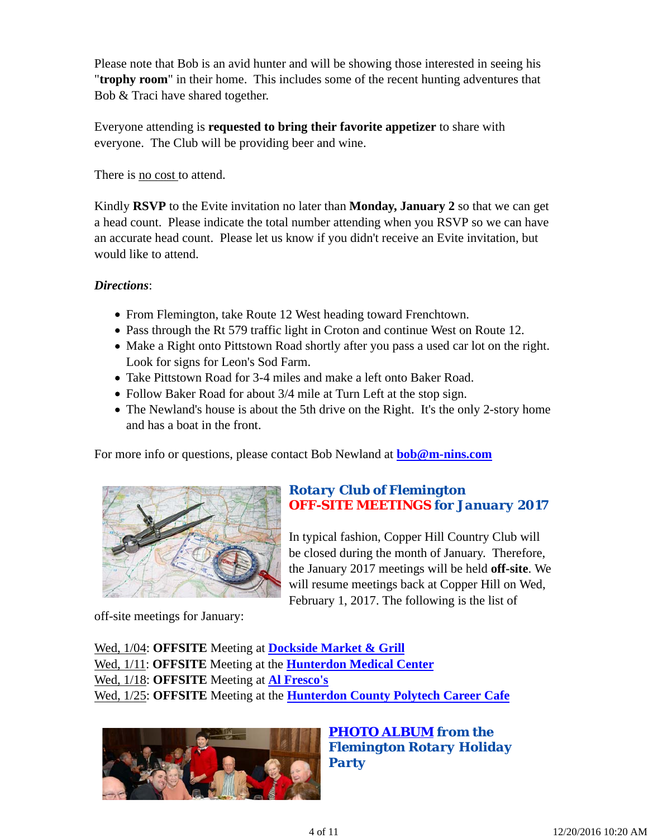Please note that Bob is an avid hunter and will be showing those interested in seeing his "**trophy room**" in their home. This includes some of the recent hunting adventures that Bob & Traci have shared together.

Everyone attending is **requested to bring their favorite appetizer** to share with everyone. The Club will be providing beer and wine.

There is no cost to attend.

Kindly **RSVP** to the Evite invitation no later than **Monday, January 2** so that we can get a head count. Please indicate the total number attending when you RSVP so we can have an accurate head count. Please let us know if you didn't receive an Evite invitation, but would like to attend.

*Directions*:

- From Flemington, take Route 12 West heading toward Frenchtown.
- Pass through the Rt 579 traffic light in Croton and continue West on Route 12.
- Make a Right onto Pittstown Road shortly after you pass a used car lot on the right. Look for signs for Leon's Sod Farm.
- Take Pittstown Road for 3-4 miles and make a left onto Baker Road.
- Follow Baker Road for about 3/4 mile at Turn Left at the stop sign.
- The Newland's house is about the 5th drive on the Right. It's the only 2-story home and has a boat in the front.

For more info or questions, please contact Bob Newland at **bob@m-nins.com**



# *Rotary Club of Flemington OFF-SITE MEETINGS for January 2017*

In typical fashion, Copper Hill Country Club will be closed during the month of January. Therefore, the January 2017 meetings will be held **off-site**. We will resume meetings back at Copper Hill on Wed, February 1, 2017. The following is the list of

off-site meetings for January:

Wed, 1/04: **OFFSITE** Meeting at **Dockside Market & Grill** Wed, 1/11: **OFFSITE** Meeting at the **Hunterdon Medical Center** Wed, 1/18: **OFFSITE** Meeting at **Al Fresco's** Wed, 1/25: **OFFSITE** Meeting at the **Hunterdon County Polytech Career Cafe**



*PHOTO ALBUM from the Flemington Rotary Holiday Party*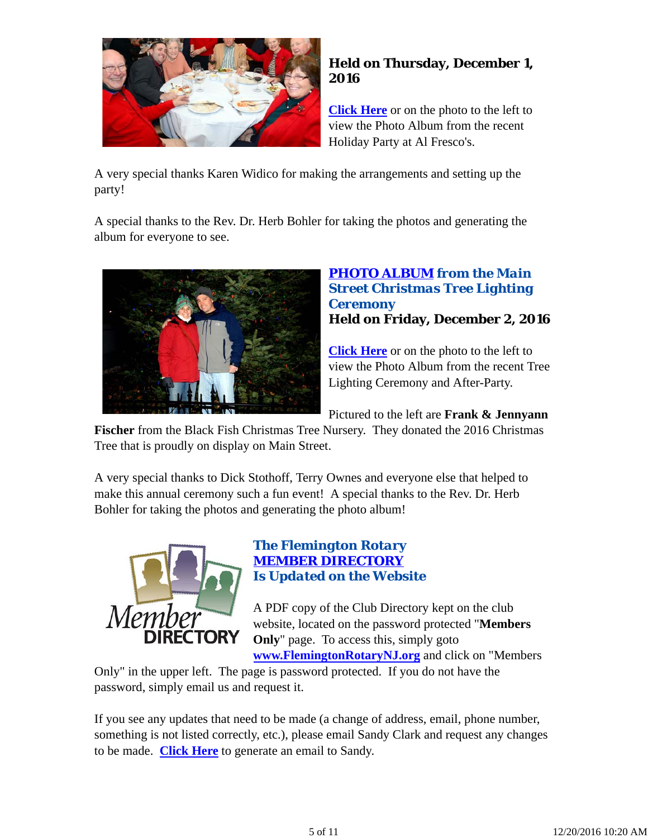

## **Held on Thursday, December 1, 2016**

**Click Here** or on the photo to the left to view the Photo Album from the recent Holiday Party at Al Fresco's.

A very special thanks Karen Widico for making the arrangements and setting up the party!

A special thanks to the Rev. Dr. Herb Bohler for taking the photos and generating the album for everyone to see.



#### *PHOTO ALBUM from the Main Street Christmas Tree Lighting Ceremony* **Held on Friday, December 2, 2016**

**Click Here** or on the photo to the left to view the Photo Album from the recent Tree Lighting Ceremony and After-Party.

Pictured to the left are **Frank & Jennyann**

**Fischer** from the Black Fish Christmas Tree Nursery. They donated the 2016 Christmas Tree that is proudly on display on Main Street.

A very special thanks to Dick Stothoff, Terry Ownes and everyone else that helped to make this annual ceremony such a fun event! A special thanks to the Rev. Dr. Herb Bohler for taking the photos and generating the photo album!



## *The Flemington Rotary MEMBER DIRECTORY Is Updated on the Website*

A PDF copy of the Club Directory kept on the club website, located on the password protected "**Members Only**" page. To access this, simply goto **www.FlemingtonRotaryNJ.org** and click on "Members

Only" in the upper left. The page is password protected. If you do not have the password, simply email us and request it.

If you see any updates that need to be made (a change of address, email, phone number, something is not listed correctly, etc.), please email Sandy Clark and request any changes to be made. **Click Here** to generate an email to Sandy.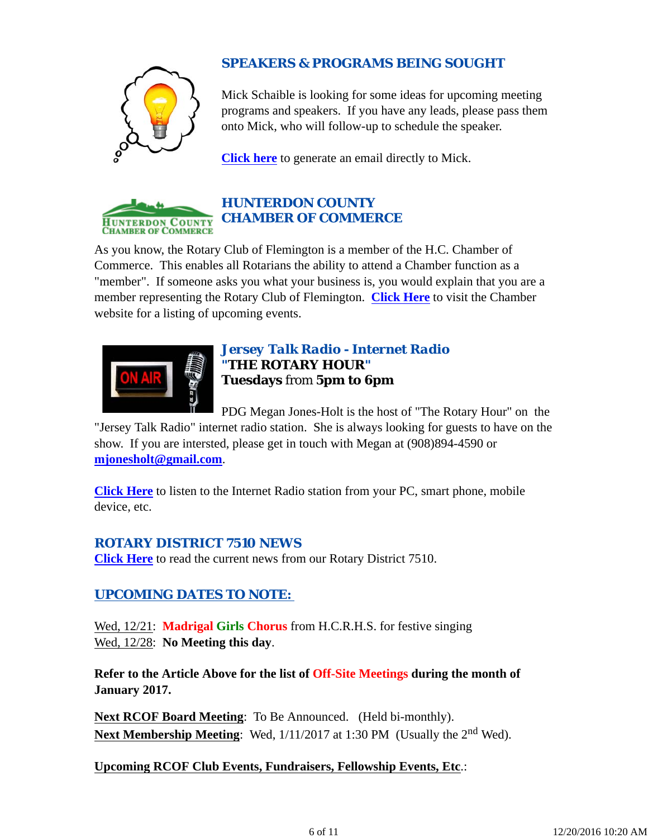

# *SPEAKERS & PROGRAMS BEING SOUGHT*

Mick Schaible is looking for some ideas for upcoming meeting programs and speakers. If you have any leads, please pass them onto Mick, who will follow-up to schedule the speaker.

**Click here** to generate an email directly to Mick.



# *HUNTERDON COUNTY CHAMBER OF COMMERCE*

As you know, the Rotary Club of Flemington is a member of the H.C. Chamber of Commerce. This enables all Rotarians the ability to attend a Chamber function as a "member". If someone asks you what your business is, you would explain that you are a member representing the Rotary Club of Flemington. **Click Here** to visit the Chamber website for a listing of upcoming events.



#### *Jersey Talk Radio - Internet Radio "THE ROTARY HOUR"* **Tuesdays** from **5pm to 6pm**

PDG Megan Jones-Holt is the host of "The Rotary Hour" on the "Jersey Talk Radio" internet radio station. She is always looking for guests to have on the show. If you are intersted, please get in touch with Megan at (908)894-4590 or **mjonesholt@gmail.com**.

**Click Here** to listen to the Internet Radio station from your PC, smart phone, mobile device, etc.

#### *ROTARY DISTRICT 7510 NEWS*

**Click Here** to read the current news from our Rotary District 7510.

# *UPCOMING DATES TO NOTE:*

Wed, 12/21: **Madrigal Girls Chorus** from H.C.R.H.S. for festive singing Wed, 12/28: **No Meeting this day**.

**Refer to the Article Above for the list of Off-Site Meetings during the month of January 2017.**

**Next RCOF Board Meeting**: To Be Announced. (Held bi-monthly). **Next Membership Meeting**: Wed,  $1/11/2017$  at 1:30 PM (Usually the 2<sup>nd</sup> Wed).

**Upcoming RCOF Club Events, Fundraisers, Fellowship Events, Etc**.: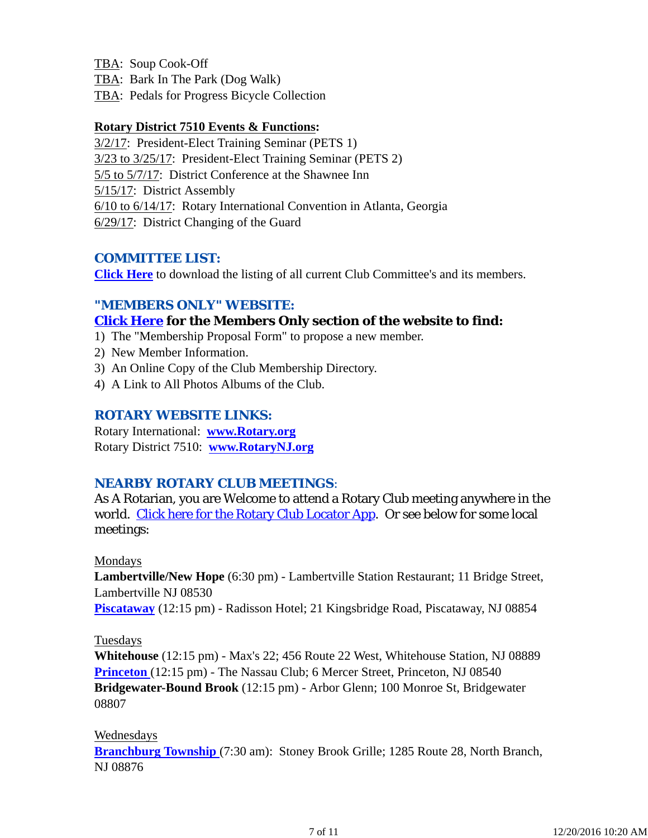TBA: Soup Cook-Off TBA: Bark In The Park (Dog Walk) TBA: Pedals for Progress Bicycle Collection

#### **Rotary District 7510 Events & Functions:**

3/2/17: President-Elect Training Seminar (PETS 1) 3/23 to 3/25/17: President-Elect Training Seminar (PETS 2) 5/5 to 5/7/17: District Conference at the Shawnee Inn 5/15/17: District Assembly 6/10 to 6/14/17: Rotary International Convention in Atlanta, Georgia 6/29/17: District Changing of the Guard

#### *COMMITTEE LIST:*

**Click Here** to download the listing of all current Club Committee's and its members.

#### *"MEMBERS ONLY" WEBSITE:*

# **Click Here for the Members Only section of the website to find:**

- 1) The "Membership Proposal Form" to propose a new member.
- 2) New Member Information.
- 3) An Online Copy of the Club Membership Directory.
- 4) A Link to All Photos Albums of the Club.

## *ROTARY WEBSITE LINKS:*

Rotary International: **www.Rotary.org** Rotary District 7510: **www.RotaryNJ.org**

# *NEARBY ROTARY CLUB MEETINGS:*

As A Rotarian, you are Welcome to attend a Rotary Club meeting anywhere in the world. Click here for the Rotary Club Locator App. Or see below for some local meetings:

#### Mondays

**Lambertville/New Hope** (6:30 pm) - Lambertville Station Restaurant; 11 Bridge Street, Lambertville NJ 08530

**Piscataway** (12:15 pm) - Radisson Hotel; 21 Kingsbridge Road, Piscataway, NJ 08854

#### Tuesdays

**Whitehouse** (12:15 pm) - Max's 22; 456 Route 22 West, Whitehouse Station, NJ 08889 **Princeton** (12:15 pm) - The Nassau Club; 6 Mercer Street, Princeton, NJ 08540 **Bridgewater-Bound Brook** (12:15 pm) - Arbor Glenn; 100 Monroe St, Bridgewater 08807

#### Wednesdays

**Branchburg Township** (7:30 am): Stoney Brook Grille; 1285 Route 28, North Branch, NJ 08876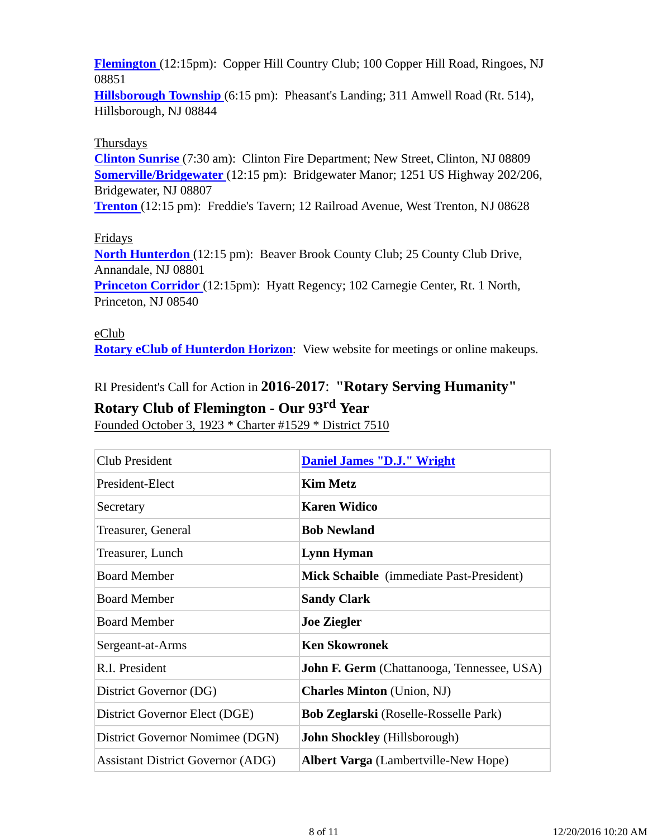**Flemington** (12:15pm): Copper Hill Country Club; 100 Copper Hill Road, Ringoes, NJ 08851

**Hillsborough Township** (6:15 pm): Pheasant's Landing; 311 Amwell Road (Rt. 514), Hillsborough, NJ 08844

#### Thursdays

**Clinton Sunrise** (7:30 am): Clinton Fire Department; New Street, Clinton, NJ 08809 **Somerville/Bridgewater** (12:15 pm): Bridgewater Manor; 1251 US Highway 202/206, Bridgewater, NJ 08807

**Trenton** (12:15 pm): Freddie's Tavern; 12 Railroad Avenue, West Trenton, NJ 08628

#### Fridays

**North Hunterdon** (12:15 pm): Beaver Brook County Club; 25 County Club Drive, Annandale, NJ 08801

**Princeton Corridor** (12:15pm): Hyatt Regency; 102 Carnegie Center, Rt. 1 North, Princeton, NJ 08540

#### eClub

**Rotary eClub of Hunterdon Horizon**: View website for meetings or online makeups.

## RI President's Call for Action in **2016-2017**: **"Rotary Serving Humanity"**

## **Rotary Club of Flemington - Our 93rd Year**

Founded October 3, 1923 \* Charter #1529 \* District 7510

| <b>Club President</b>                    | <b>Daniel James "D.J." Wright</b>                 |  |
|------------------------------------------|---------------------------------------------------|--|
| President-Elect                          | <b>Kim Metz</b>                                   |  |
| Secretary                                | <b>Karen Widico</b>                               |  |
| Treasurer, General                       | <b>Bob Newland</b>                                |  |
| Treasurer, Lunch                         | Lynn Hyman                                        |  |
| <b>Board Member</b>                      | <b>Mick Schaible</b> (immediate Past-President)   |  |
| <b>Board Member</b>                      | <b>Sandy Clark</b>                                |  |
| <b>Board Member</b>                      | <b>Joe Ziegler</b>                                |  |
| Sergeant-at-Arms                         | <b>Ken Skowronek</b>                              |  |
| R.I. President                           | <b>John F. Germ</b> (Chattanooga, Tennessee, USA) |  |
| District Governor (DG)                   | <b>Charles Minton</b> (Union, NJ)                 |  |
| District Governor Elect (DGE)            | <b>Bob Zeglarski</b> (Roselle-Rosselle Park)      |  |
| District Governor Nomimee (DGN)          | <b>John Shockley</b> (Hillsborough)               |  |
| <b>Assistant District Governor (ADG)</b> | Albert Varga (Lambertville-New Hope)              |  |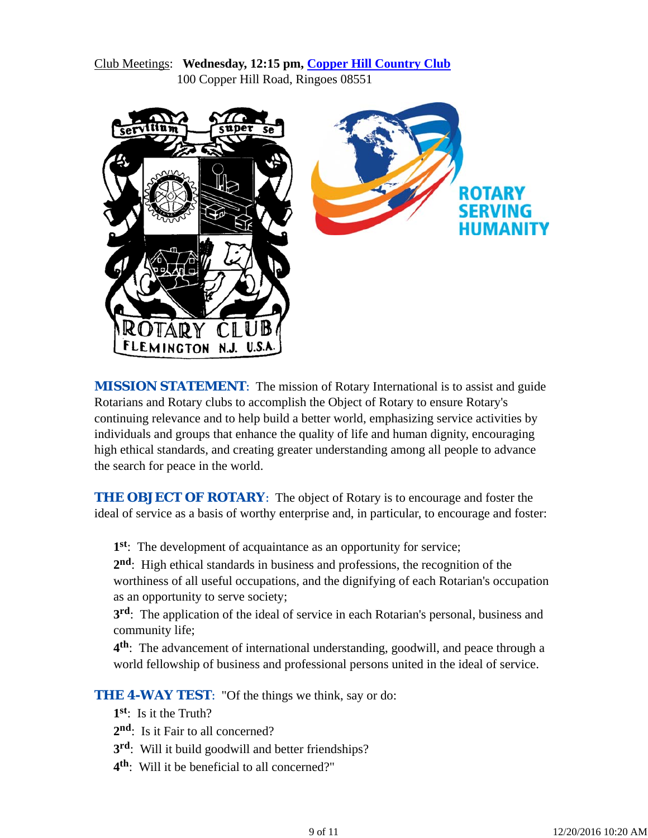Club Meetings: **Wednesday, 12:15 pm, Copper Hill Country Club** 100 Copper Hill Road, Ringoes 08551



*MISSION STATEMENT*: The mission of Rotary International is to assist and guide Rotarians and Rotary clubs to accomplish the Object of Rotary to ensure Rotary's continuing relevance and to help build a better world, emphasizing service activities by individuals and groups that enhance the quality of life and human dignity, encouraging high ethical standards, and creating greater understanding among all people to advance the search for peace in the world.

**THE OBJECT OF ROTARY:** The object of Rotary is to encourage and foster the ideal of service as a basis of worthy enterprise and, in particular, to encourage and foster:

**1st**: The development of acquaintance as an opportunity for service;

**2nd**: High ethical standards in business and professions, the recognition of the worthiness of all useful occupations, and the dignifying of each Rotarian's occupation as an opportunity to serve society;

**3rd**: The application of the ideal of service in each Rotarian's personal, business and community life;

**4th**: The advancement of international understanding, goodwill, and peace through a world fellowship of business and professional persons united in the ideal of service.

**THE 4-WAY TEST:** "Of the things we think, say or do:

- **1st**: Is it the Truth?
- 2<sup>nd</sup>: Is it Fair to all concerned?
- **3rd**: Will it build goodwill and better friendships?
- **4th**: Will it be beneficial to all concerned?"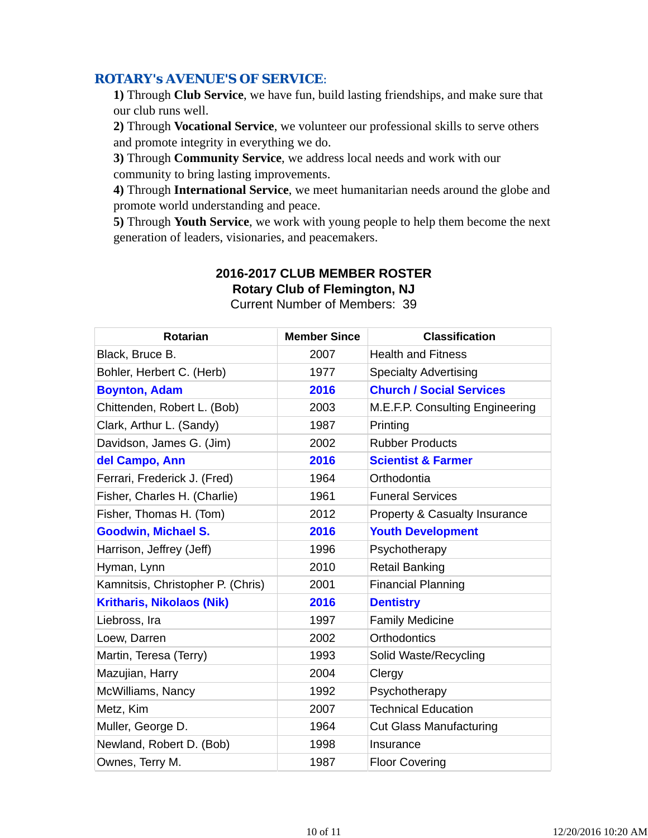#### *ROTARY's AVENUE'S OF SERVICE*:

**1)** Through **Club Service**, we have fun, build lasting friendships, and make sure that our club runs well.

**2)** Through **Vocational Service**, we volunteer our professional skills to serve others and promote integrity in everything we do.

**3)** Through **Community Service**, we address local needs and work with our community to bring lasting improvements.

**4)** Through **International Service**, we meet humanitarian needs around the globe and promote world understanding and peace.

**5)** Through **Youth Service**, we work with young people to help them become the next generation of leaders, visionaries, and peacemakers.

# **Rotarian Member Since Classification** Black, Bruce B. 2007 Health and Fitness Bohler, Herbert C. (Herb) 1977 Specialty Advertising **Boynton, Adam 2016 Church / Social Services** Chittenden, Robert L. (Bob) 2003 M.E.F.P. Consulting Engineering Clark, Arthur L. (Sandy) 1987 Printing Davidson, James G. (Jim) 2002 Rubber Products **del Campo, Ann 2016 Scientist & Farmer** Ferrari, Frederick J. (Fred) 1964 Orthodontia Fisher, Charles H. (Charlie) 1961 Funeral Services Fisher, Thomas H. (Tom)  $\vert$  2012 Property & Casualty Insurance **Goodwin, Michael S. 2016 Youth Development** Harrison, Jeffrey (Jeff) 1996 Psychotherapy Hyman, Lynn 2010 Retail Banking Kamnitsis, Christopher P. (Chris) | 2001 | Financial Planning **Kritharis, Nikolaos (Nik) 2016 Dentistry** Liebross, Ira **1997** Family Medicine Loew, Darren 2002 | Orthodontics Martin, Teresa (Terry) 1993 Solid Waste/Recycling Mazujian, Harry **Callet East Clergy** 2004 Clergy McWilliams, Nancy **Nancy** 1992 Psychotherapy Metz, Kim 2007 Technical Education Muller, George D. **1964** Cut Glass Manufacturing Newland, Robert D. (Bob) 1998 | Insurance Ownes, Terry M. 1987 Floor Covering

# **2016-2017 CLUB MEMBER ROSTER**

**Rotary Club of Flemington, NJ**

Current Number of Members: 39